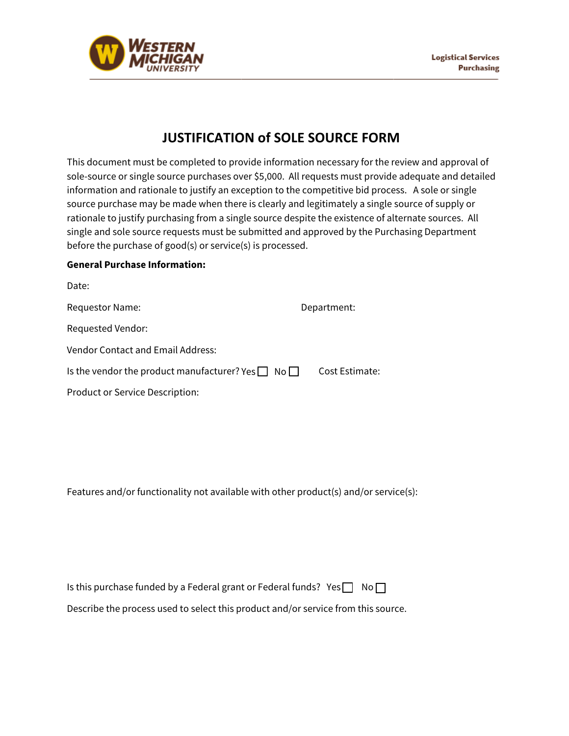

## **JUSTIFICATION of SOLE SOURCE FORM**

This document must be completed to provide information necessary for the review and approval of sole-source or single source purchases over \$5,000. All requests must provide adequate and detailed information and rationale to justify an exception to the competitive bid process. A sole or single source purchase may be made when there is clearly and legitimately a single source of supply or rationale to justify purchasing from a single source despite the existence of alternate sources. All single and sole source requests must be submitted and approved by the Purchasing Department before the purchase of good(s) or service(s) is processed.

## **General Purchase Information:**

| Date:                                                        |                |
|--------------------------------------------------------------|----------------|
| <b>Requestor Name:</b>                                       | Department:    |
| Requested Vendor:                                            |                |
| Vendor Contact and Email Address:                            |                |
| Is the vendor the product manufacturer? Yes $\Box$ No $\Box$ | Cost Estimate: |
| <b>Product or Service Description:</b>                       |                |

Features and/or functionality not available with other product(s) and/or service(s):

Is this purchase funded by a Federal grant or Federal funds? Yes  $\Box$  No $\Box$ 

Describe the process used to select this product and/or service from this source.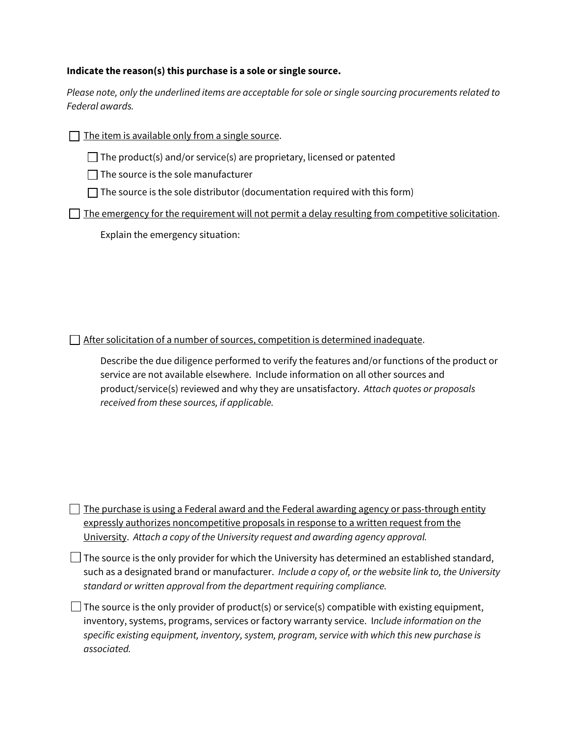## **Indicate the reason(s) this purchase is a sole or single source.**

Please note, only the underlined items are acceptable for sole or single sourcing procurements related to Federal awards.

 $\Box$  The item is available only from a single source.

 $\Box$  The product(s) and/or service(s) are proprietary, licensed or patented

 $\Box$  The source is the sole manufacturer

 $\Box$  The source is the sole distributor (documentation required with this form)

 $\Box$  The emergency for the requirement will not permit a delay resulting from competitive solicitation.

Explain the emergency situation:

 $\Box$  After solicitation of a number of sources, competition is determined inadequate.

Describe the due diligence performed to verify the features and/or functions of the product or service are not available elsewhere. Include information on all other sources and product/service(s) reviewed and why they are unsatisfactory. Attach quotes or proposals received from these sources, if applicable.

 $\Box$  The purchase is using a Federal award and the Federal awarding agency or pass-through entity expressly authorizes noncompetitive proposals in response to a written request from the University. Attach a copy of the University request and awarding agency approval.

 $\Box$  The source is the only provider for which the University has determined an established standard, such as a designated brand or manufacturer. Include a copy of, or the website link to, the University standard or written approval from the department requiring compliance.

 $\Box$  The source is the only provider of product(s) or service(s) compatible with existing equipment, inventory, systems, programs, services or factory warranty service. Include information on the specific existing equipment, inventory, system, program, service with which this new purchase is associated.